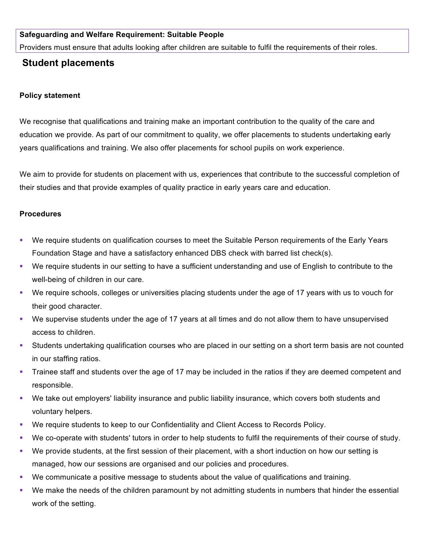## **Safeguarding and Welfare Requirement: Suitable People**

Providers must ensure that adults looking after children are suitable to fulfil the requirements of their roles.

## **Student placements**

## **Policy statement**

We recognise that qualifications and training make an important contribution to the quality of the care and education we provide. As part of our commitment to quality, we offer placements to students undertaking early years qualifications and training. We also offer placements for school pupils on work experience.

We aim to provide for students on placement with us, experiences that contribute to the successful completion of their studies and that provide examples of quality practice in early years care and education.

## **Procedures**

- We require students on qualification courses to meet the Suitable Person requirements of the Early Years Foundation Stage and have a satisfactory enhanced DBS check with barred list check(s).
- § We require students in our setting to have a sufficient understanding and use of English to contribute to the well-being of children in our care.
- § We require schools, colleges or universities placing students under the age of 17 years with us to vouch for their good character.
- § We supervise students under the age of 17 years at all times and do not allow them to have unsupervised access to children.
- § Students undertaking qualification courses who are placed in our setting on a short term basis are not counted in our staffing ratios.
- Trainee staff and students over the age of 17 may be included in the ratios if they are deemed competent and responsible.
- § We take out employers' liability insurance and public liability insurance, which covers both students and voluntary helpers.
- We require students to keep to our Confidentiality and Client Access to Records Policy.
- § We co-operate with students' tutors in order to help students to fulfil the requirements of their course of study.
- § We provide students, at the first session of their placement, with a short induction on how our setting is managed, how our sessions are organised and our policies and procedures.
- We communicate a positive message to students about the value of qualifications and training.
- § We make the needs of the children paramount by not admitting students in numbers that hinder the essential work of the setting.